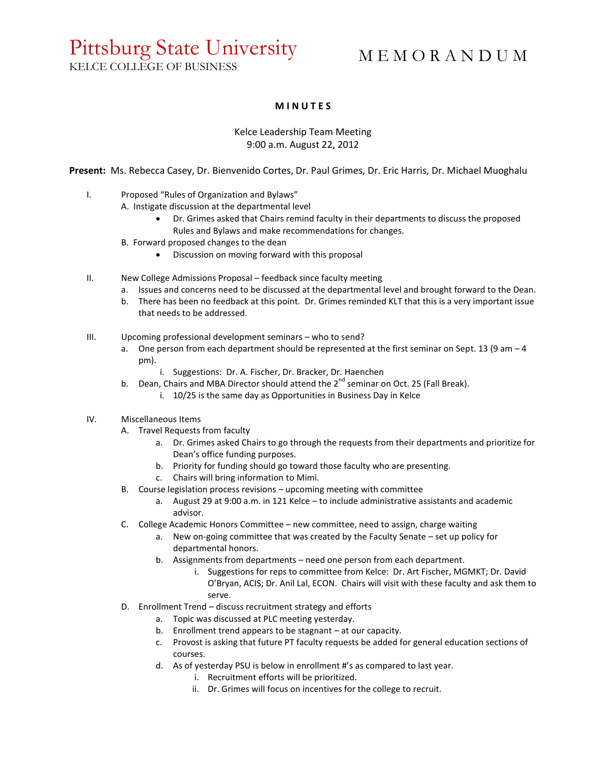## Pittsburg State University KELCE COLLEGE OF BUSINESS

# M E M O R A N D U M

### **M I N U T E S**

### Kelce Leadership Team Meeting 9:00 a.m. August 22, 2012

**Present:** Ms. Rebecca Casey, Dr. Bienvenido Cortes, Dr. Paul Grimes, Dr. Eric Harris, Dr. Michael Muoghalu

- I. Proposed "Rules of Organization and Bylaws"
	- A. Instigate discussion at the departmental level
		- Dr. Grimes asked that Chairs remind faculty in their departments to discuss the proposed Rules and Bylaws and make recommendations for changes.
	- B. Forward proposed changes to the dean
		- Discussion on moving forward with this proposal
- II. New College Admissions Proposal feedback since faculty meeting
	- a. Issues and concerns need to be discussed at the departmental level and brought forward to the Dean.
	- b. There has been no feedback at this point. Dr. Grimes reminded KLT that this is a very important issue that needs to be addressed.
- III. Upcoming professional development seminars who to send?
	- a. One person from each department should be represented at the first seminar on Sept. 13 (9 am  $-4$ pm).
		- i. Suggestions: Dr. A. Fischer, Dr. Bracker, Dr. Haenchen
	- b. Dean, Chairs and MBA Director should attend the  $2^{nd}$  seminar on Oct. 25 (Fall Break).
		- i. 10/25 is the same day as Opportunities in Business Day in Kelce

#### IV. Miscellaneous Items

- A. Travel Requests from faculty
	- a. Dr. Grimes asked Chairs to go through the requests from their departments and prioritize for Dean's office funding purposes.
	- b. Priority for funding should go toward those faculty who are presenting.
	- c. Chairs will bring information to Mimi.
- B. Course legislation process revisions upcoming meeting with committee
	- a. August 29 at 9:00 a.m. in 121 Kelce to include administrative assistants and academic advisor.
- C. College Academic Honors Committee new committee, need to assign, charge waiting
	- a. New on-going committee that was created by the Faculty Senate set up policy for departmental honors.
	- b. Assignments from departments need one person from each department.
		- i. Suggestions for reps to committee from Kelce: Dr. Art Fischer, MGMKT; Dr. David O'Bryan, ACIS; Dr. Anil Lal, ECON. Chairs will visit with these faculty and ask them to serve.
- D. Enrollment Trend discuss recruitment strategy and efforts
	- a. Topic was discussed at PLC meeting yesterday.
	- b. Enrollment trend appears to be stagnant at our capacity.
	- c. Provost is asking that future PT faculty requests be added for general education sections of courses.
	- d. As of yesterday PSU is below in enrollment #'s as compared to last year.
		- i. Recruitment efforts will be prioritized.
			- ii. Dr. Grimes will focus on incentives for the college to recruit.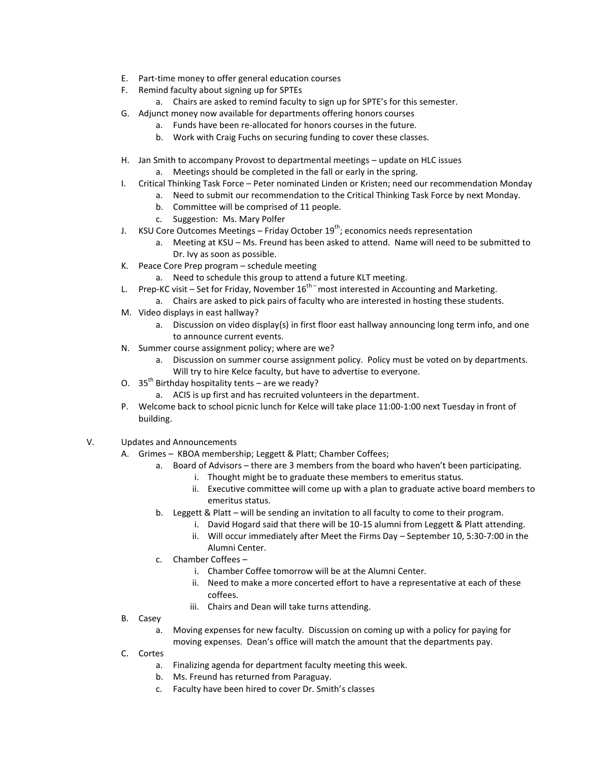- E. Part-time money to offer general education courses
- F. Remind faculty about signing up for SPTEs
	- a. Chairs are asked to remind faculty to sign up for SPTE's for this semester.
- G. Adjunct money now available for departments offering honors courses
	- a. Funds have been re-allocated for honors courses in the future.
	- b. Work with Craig Fuchs on securing funding to cover these classes.
- H. Jan Smith to accompany Provost to departmental meetings update on HLC issues a. Meetings should be completed in the fall or early in the spring.
	-
- I. Critical Thinking Task Force Peter nominated Linden or Kristen; need our recommendation Monday a. Need to submit our recommendation to the Critical Thinking Task Force by next Monday.
	- b. Committee will be comprised of 11 people.
	- c. Suggestion: Ms. Mary Polfer
- J. KSU Core Outcomes Meetings Friday October  $19^{th}$ ; economics needs representation
	- a. Meeting at KSU Ms. Freund has been asked to attend. Name will need to be submitted to Dr. Ivy as soon as possible.
- K. Peace Core Prep program schedule meeting
	- a. Need to schedule this group to attend a future KLT meeting.
- L. Prep-KC visit Set for Friday, November  $16^{th}$  most interested in Accounting and Marketing.
	- a. Chairs are asked to pick pairs of faculty who are interested in hosting these students.
- M. Video displays in east hallway?
	- a. Discussion on video display(s) in first floor east hallway announcing long term info, and one to announce current events.
- N. Summer course assignment policy; where are we?
	- a. Discussion on summer course assignment policy. Policy must be voted on by departments. Will try to hire Kelce faculty, but have to advertise to everyone.
- O. 35<sup>th</sup> Birthday hospitality tents are we ready?
	- a. ACIS is up first and has recruited volunteers in the department.
- P. Welcome back to school picnic lunch for Kelce will take place 11:00-1:00 next Tuesday in front of building.
- V. Updates and Announcements
	- A. Grimes KBOA membership; Leggett & Platt; Chamber Coffees;
		- a. Board of Advisors there are 3 members from the board who haven't been participating.
			- i. Thought might be to graduate these members to emeritus status.
			- ii. Executive committee will come up with a plan to graduate active board members to emeritus status.
		- b. Leggett & Platt will be sending an invitation to all faculty to come to their program.
			- i. David Hogard said that there will be 10-15 alumni from Leggett & Platt attending.
				- ii. Will occur immediately after Meet the Firms Day September 10, 5:30-7:00 in the Alumni Center.
		- c. Chamber Coffees
			- i. Chamber Coffee tomorrow will be at the Alumni Center.
			- ii. Need to make a more concerted effort to have a representative at each of these coffees.
			- iii. Chairs and Dean will take turns attending.
	- B. Casey
		- a. Moving expenses for new faculty. Discussion on coming up with a policy for paying for moving expenses. Dean's office will match the amount that the departments pay.
	- C. Cortes
		- a. Finalizing agenda for department faculty meeting this week.
		- b. Ms. Freund has returned from Paraguay.
		- c. Faculty have been hired to cover Dr. Smith's classes